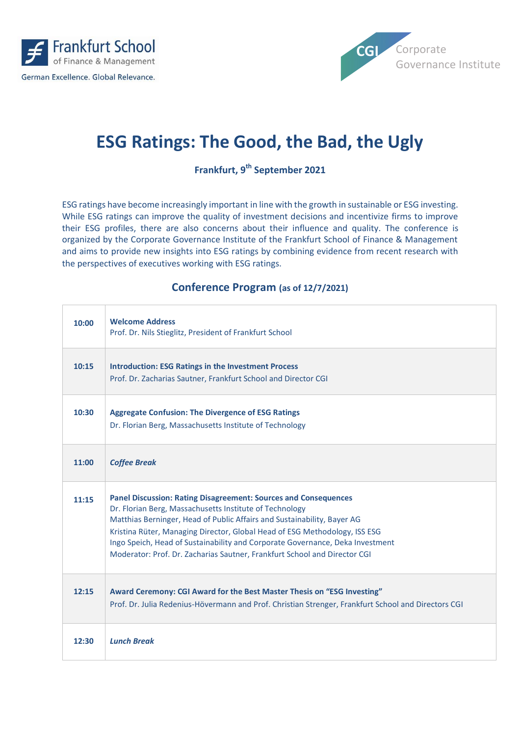



## **ESG Ratings: The Good, the Bad, the Ugly**

**Frankfurt, 9 th September 2021**

ESG ratings have become increasingly important in line with the growth in sustainable or ESG investing. While ESG ratings can improve the quality of investment decisions and incentivize firms to improve their ESG profiles, there are also concerns about their influence and quality. The conference is organized by the Corporate Governance Institute of the Frankfurt School of Finance & Management and aims to provide new insights into ESG ratings by combining evidence from recent research with the perspectives of executives working with ESG ratings.

## **Conference Program (as of 12/7/2021)**

| 10:00 | <b>Welcome Address</b><br>Prof. Dr. Nils Stieglitz, President of Frankfurt School                                                                                                                                                                                                                                                                                                                                                                        |  |
|-------|----------------------------------------------------------------------------------------------------------------------------------------------------------------------------------------------------------------------------------------------------------------------------------------------------------------------------------------------------------------------------------------------------------------------------------------------------------|--|
| 10:15 | <b>Introduction: ESG Ratings in the Investment Process</b><br>Prof. Dr. Zacharias Sautner, Frankfurt School and Director CGI                                                                                                                                                                                                                                                                                                                             |  |
| 10:30 | <b>Aggregate Confusion: The Divergence of ESG Ratings</b><br>Dr. Florian Berg, Massachusetts Institute of Technology                                                                                                                                                                                                                                                                                                                                     |  |
| 11:00 | <b>Coffee Break</b>                                                                                                                                                                                                                                                                                                                                                                                                                                      |  |
| 11:15 | <b>Panel Discussion: Rating Disagreement: Sources and Consequences</b><br>Dr. Florian Berg, Massachusetts Institute of Technology<br>Matthias Berninger, Head of Public Affairs and Sustainability, Bayer AG<br>Kristina Rüter, Managing Director, Global Head of ESG Methodology, ISS ESG<br>Ingo Speich, Head of Sustainability and Corporate Governance, Deka Investment<br>Moderator: Prof. Dr. Zacharias Sautner, Frankfurt School and Director CGI |  |
| 12:15 | Award Ceremony: CGI Award for the Best Master Thesis on "ESG Investing"<br>Prof. Dr. Julia Redenius-Hövermann and Prof. Christian Strenger, Frankfurt School and Directors CGI                                                                                                                                                                                                                                                                           |  |
| 12:30 | <b>Lunch Break</b>                                                                                                                                                                                                                                                                                                                                                                                                                                       |  |